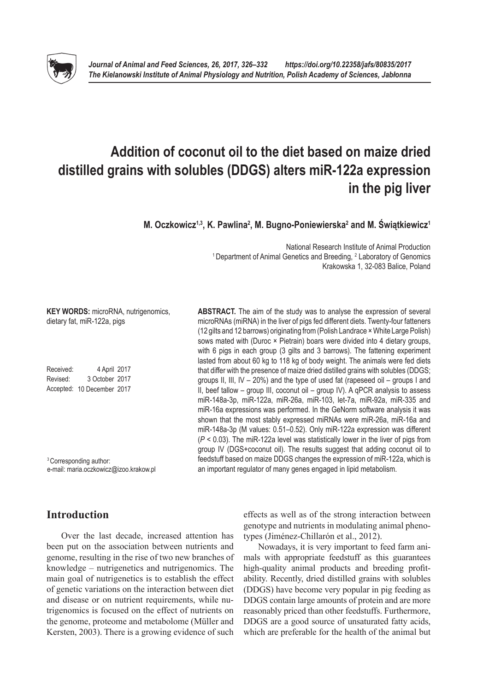# **Addition of coconut oil to the diet based on maize dried distilled grains with solubles (DDGS) alters miR-122a expression in the pig liver**

**M. Oczkowicz1,3, K. Pawlina2 , M. Bugno-Poniewierska2 and M. Świątkiewicz<sup>1</sup>**

National Research Institute of Animal Production <sup>1</sup> Department of Animal Genetics and Breeding, <sup>2</sup> Laboratory of Genomics Krakowska 1, 32-083 Balice, Poland

**ABSTRACT.** The aim of the study was to analyse the expression of several microRNAs (miRNA) in the liver of pigs fed different diets. Twenty-four fatteners (12 gilts and 12 barrows) originating from (Polish Landrace × White Large Polish) sows mated with (Duroc × Pietrain) boars were divided into 4 dietary groups, with 6 pigs in each group (3 gilts and 3 barrows). The fattening experiment lasted from about 60 kg to 118 kg of body weight. The animals were fed diets that differ with the presence of maize dried distilled grains with solubles (DDGS; groups II, III, IV – 20%) and the type of used fat (rapeseed oil – groups I and II, beef tallow – group III, coconut oil – group IV). A qPCR analysis to assess miR-148a-3p, miR-122a, miR-26a, miR-103, let-7a, miR-92a, miR-335 and miR-16a expressions was performed. In the GeNorm software analysis it was shown that the most stably expressed miRNAs were miR-26a, miR-16a and miR-148a-3p (M values: 0.51–0.52). Only miR-122a expression was different (*P* < 0.03). The miR-122a level was statistically lower in the liver of pigs from group IV (DGS+coconut oil). The results suggest that adding coconut oil to

dietary fat, miR-122a, pigs Received: 4 April 2017 Revised: 3 October 2017 Accepted: 10 December 2017

**KEY WORDS:** microRNA, nutrigenomics,

3 Corresponding author: e-mail: [maria.oczkowicz@izoo.krakow.pl](mailto:maria.oczkowicz@izoo.krakow.pl)

# **Introduction**

Over the last decade, increased attention has been put on the association between nutrients and genome, resulting in the rise of two new branches of knowledge – nutrigenetics and nutrigenomics. The main goal of nutrigenetics is to establish the effect of genetic variations on the interaction between diet and disease or on nutrient requirements, while nutrigenomics is focused on the effect of nutrients on the genome, proteome and metabolome (Müller and Kersten, 2003). There is a growing evidence of such

effects as well as of the strong interaction between feedstuff based on maize DDGS changes the expression of miR-122a, which is an important regulator of many genes engaged in lipid metabolism.

genotype and nutrients in modulating animal phenotypes (Jiménez-Chillarón et al., 2012).

Nowadays, it is very important to feed farm animals with appropriate feedstuff as this guarantees high-quality animal products and breeding profitability. Recently, dried distilled grains with solubles (DDGS) have become very popular in pig feeding as DDGS contain large amounts of protein and are more reasonably priced than other feedstuffs. Furthermore, DDGS are a good source of unsaturated fatty acids, which are preferable for the health of the animal but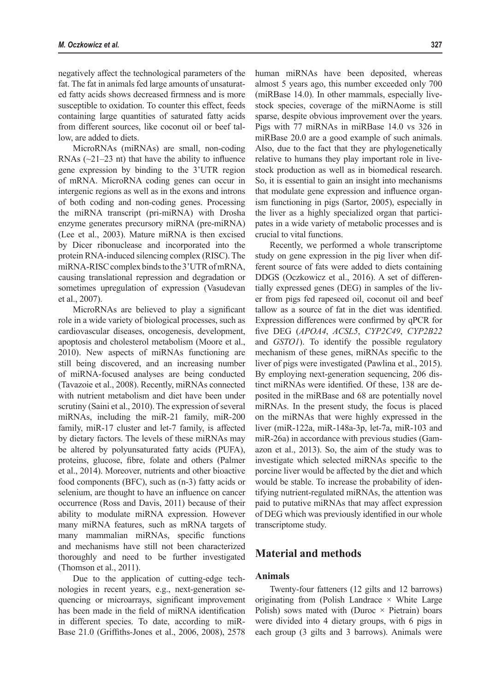negatively affect the technological parameters of the fat. The fat in animals fed large amounts of unsaturated fatty acids shows decreased firmness and is more susceptible to oxidation. To counter this effect, feeds containing large quantities of saturated fatty acids from different sources, like coconut oil or beef tallow, are added to diets.

MicroRNAs (miRNAs) are small, non-coding RNAs  $(\sim 21-23$  nt) that have the ability to influence gene expression by binding to the 3'UTR region of mRNA. MicroRNA coding genes can occur in intergenic regions as well as in the exons and introns of both coding and non-coding genes. Processing the miRNA transcript (pri-miRNA) with Drosha enzyme generates precursory miRNA (pre-miRNA) (Lee et al., 2003). Mature miRNA is then excised by Dicer ribonuclease and incorporated into the protein RNA-induced silencing complex (RISC). The miRNA-RISC complex binds to the 3'UTR of mRNA, causing translational repression and degradation or sometimes upregulation of expression (Vasudevan et al., 2007).

MicroRNAs are believed to play a significant role in a wide variety of biological processes, such as cardiovascular diseases, oncogenesis, development, apoptosis and cholesterol metabolism (Moore et al., 2010). New aspects of miRNAs functioning are still being discovered, and an increasing number of miRNA-focused analyses are being conducted (Tavazoie et al., 2008). Recently, miRNAs connected with nutrient metabolism and diet have been under scrutiny (Saini et al., 2010). The expression of several miRNAs, including the miR-21 family, miR-200 family, miR-17 cluster and let-7 family, is affected by dietary factors. The levels of these miRNAs may be altered by polyunsaturated fatty acids (PUFA), proteins, glucose, fibre, folate and others (Palmer et al., 2014). Moreover, nutrients and other bioactive food components (BFC), such as (n-3) fatty acids or selenium, are thought to have an influence on cancer occurrence (Ross and Davis, 2011) because of their ability to modulate miRNA expression. However many miRNA features, such as mRNA targets of many mammalian miRNAs, specific functions and mechanisms have still not been characterized thoroughly and need to be further investigated (Thomson et al., 2011).

Due to the application of cutting-edge technologies in recent years, e.g., next-generation sequencing or microarrays, significant improvement has been made in the field of miRNA identification in different species. To date, according to miR-Base 21.0 (Griffiths-Jones et al., 2006, 2008), 2578

human miRNAs have been deposited, whereas almost 5 years ago, this number exceeded only 700 (miRBase 14.0). In other mammals, especially livestock species, coverage of the miRNAome is still sparse, despite obvious improvement over the years. Pigs with 77 miRNAs in miRBase 14.0 vs 326 in miRBase 20.0 are a good example of such animals. Also, due to the fact that they are phylogenetically relative to humans they play important role in livestock production as well as in biomedical research. So, it is essential to gain an insight into mechanisms that modulate gene expression and influence organism functioning in pigs (Sartor, 2005), especially in the liver as a highly specialized organ that participates in a wide variety of metabolic processes and is crucial to vital functions.

Recently, we performed a whole transcriptome study on gene expression in the pig liver when different source of fats were added to diets containing DDGS (Oczkowicz et al., 2016). A set of differentially expressed genes (DEG) in samples of the liver from pigs fed rapeseed oil, coconut oil and beef tallow as a source of fat in the diet was identified. Expression differences were confirmed by qPCR for five DEG (*APOA4*, *ACSL5*, *CYP2C49*, *CYP2B22*  and *GSTO1*). To identify the possible regulatory mechanism of these genes, miRNAs specific to the liver of pigs were investigated (Pawlina et al., 2015). By employing next-generation sequencing, 206 distinct miRNAs were identified. Of these, 138 are deposited in the miRBase and 68 are potentially novel miRNAs. In the present study, the focus is placed on the miRNAs that were highly expressed in the liver (miR-122a, miR-148a-3p, let-7a, miR-103 and miR-26a) in accordance with previous studies (Gamazon et al., 2013). So, the aim of the study was to investigate which selected miRNAs specific to the porcine liver would be affected by the diet and which would be stable. To increase the probability of identifying nutrient-regulated miRNAs, the attention was paid to putative miRNAs that may affect expression of DEG which was previously identified in our whole transcriptome study.

# **Material and methods**

#### **Animals**

Twenty-four fatteners (12 gilts and 12 barrows) originating from (Polish Landrace  $\times$  White Large Polish) sows mated with (Duroc  $\times$  Pietrain) boars were divided into 4 dietary groups, with 6 pigs in each group (3 gilts and 3 barrows). Animals were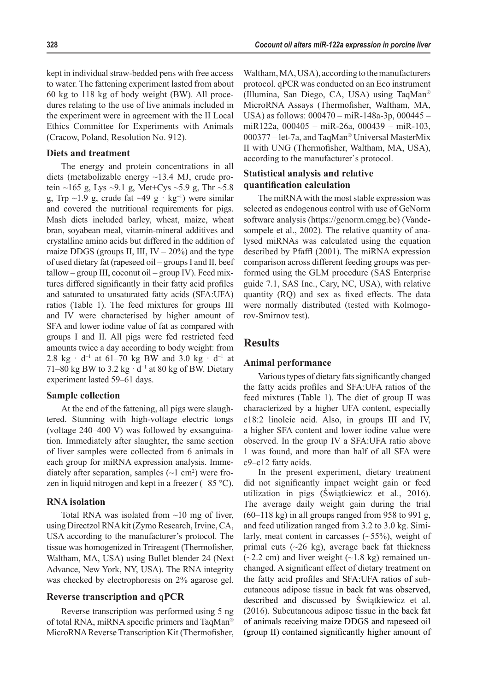kept in individual straw-bedded pens with free access to water. The fattening experiment lasted from about 60 kg to 118 kg of body weight (BW). All procedures relating to the use of live animals included in the experiment were in agreement with the II Local Ethics Committee for Experiments with Animals (Cracow, Poland, Resolution No. 912).

#### **Diets and treatment**

The energy and protein concentrations in all diets (metabolizable energy ~13.4 MJ, crude protein ~165 g, Lys ~9.1 g, Met+Cys ~5.9 g, Thr ~5.8 g, Trp ~1.9 g, crude fat ~49 g · kg<sup>-1</sup>) were similar and covered the nutritional requirements for pigs. Mash diets included barley, wheat, maize, wheat bran, soyabean meal, vitamin-mineral additives and crystalline amino acids but differed in the addition of maize DDGS (groups II, III,  $IV - 20\%$ ) and the type of used dietary fat (rapeseed oil – groups I and II, beef  $t$ allow – group III, coconut oil – group IV). Feed mixtures differed significantly in their fatty acid profiles and saturated to unsaturated fatty acids (SFA:UFA) ratios (Table 1). The feed mixtures for groups III and IV were characterised by higher amount of SFA and lower iodine value of fat as compared with groups I and II. All pigs were fed restricted feed amounts twice a day according to body weight: from 2.8 kg · d<sup>−</sup><sup>1</sup> at 61‒70 kg BW and 3.0 kg · d−1 at 71–80 kg BW to 3.2 kg · d<sup>-1</sup> at 80 kg of BW. Dietary experiment lasted 59–61 days.

#### **Sample collection**

At the end of the fattening, all pigs were slaughtered. Stunning with high-voltage electric tongs (voltage 240–400 V) was followed by exsanguination. Immediately after slaughter, the same section of liver samples were collected from 6 animals in each group for miRNA expression analysis. Immediately after separation, samples  $(\sim 1 \text{ cm}^2)$  were frozen in liquid nitrogen and kept in a freezer (−85 °C).

#### **RNA isolation**

Total RNA was isolated from  $\sim$ 10 mg of liver, using Directzol RNA kit (Zymo Research, Irvine, CA, USA according to the manufacturer's protocol. The tissue was homogenized in Trireagent (Thermofisher, Waltham, MA, USA) using Bullet blender 24 (Next Advance, New York, NY, USA). The RNA integrity was checked by electrophoresis on 2% agarose gel.

### **Reverse transcription and qPCR**

Reverse transcription was performed using 5 ng of total RNA, miRNA specific primers and TaqMan® MicroRNA Reverse Transcription Kit (Thermofisher,

Waltham, MA, USA), according to the manufacturers protocol. qPCR was conducted on an Eco instrument (Illumina, San Diego, CA, USA) using TaqMan® MicroRNA Assays (Thermofisher, Waltham, MA, USA) as follows: 000470 – miR-148a-3p, 000445 – miR122a, 000405 – miR-26a, 000439 – miR-103, 000377 – let-7a, and TaqMan® Universal MasterMix II with UNG (Thermofisher, Waltham, MA, USA), according to the manufacturer`s protocol.

### **Statistical analysis and relative quantification calculation**

The miRNA with the most stable expression was selected as endogenous control with use of GeNorm software analysis (<https://genorm.cmgg.be>) (Vandesompele et al., 2002). The relative quantity of analysed miRNAs was calculated using the equation described by Pfaffl (2001). The miRNA expression comparison across different feeding groups was performed using the GLM procedure (SAS Enterprise guide 7.1, SAS Inc., Cary, NC, USA), with relative quantity (RQ) and sex as fixed effects. The data were normally distributed (tested with Kolmogorov-Smirnov test).

#### **Results**

#### **Animal performance**

Various types of dietary fats significantly changed the fatty acids profiles and SFA:UFA ratios of the feed mixtures (Table 1). The diet of group II was characterized by a higher UFA content, especially c18:2 linoleic acid. Also, in groups III and IV, a higher SFA content and lower iodine value were observed. In the group IV a SFA:UFA ratio above 1 was found, and more than half of all SFA were c9–c12 fatty acids.

In the present experiment, dietary treatment did not significantly impact weight gain or feed utilization in pigs (Świątkiewicz et al., 2016). The average daily weight gain during the trial  $(60-118 \text{ kg})$  in all groups ranged from 958 to 991 g, and feed utilization ranged from 3.2 to 3.0 kg. Similarly, meat content in carcasses  $(\sim 55\%)$ , weight of primal cuts  $(\sim 26 \text{ kg})$ , average back fat thickness  $(-2.2 \text{ cm})$  and liver weight  $(-1.8 \text{ kg})$  remained unchanged. A significant effect of dietary treatment on the fatty acid profiles and SFA:UFA ratios of subcutaneous adipose tissue in back fat was observed, described and discussed by Świątkiewicz et al. (2016). Subcutaneous adipose tissue in the back fat of animals receiving maize DDGS and rapeseed oil (group II) contained significantly higher amount of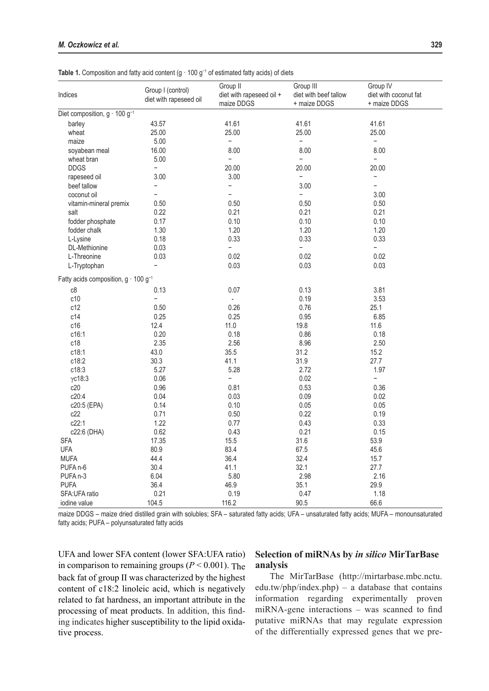| Indices                                       | Group I (control)<br>diet with rapeseed oil | Group II<br>diet with rapeseed oil +<br>maize DDGS | Group III<br>diet with beef tallow<br>+ maize DDGS | Group IV<br>diet with coconut fat<br>+ maize DDGS |
|-----------------------------------------------|---------------------------------------------|----------------------------------------------------|----------------------------------------------------|---------------------------------------------------|
| Diet composition, g · 100 g <sup>-1</sup>     |                                             |                                                    |                                                    |                                                   |
| barley                                        | 43.57                                       | 41.61                                              | 41.61                                              | 41.61                                             |
| wheat                                         | 25.00                                       | 25.00                                              | 25.00                                              | 25.00                                             |
| maize                                         | 5.00                                        | $\overline{\phantom{0}}$                           | $\overline{\phantom{0}}$                           | -                                                 |
| soyabean meal                                 | 16.00                                       | 8.00                                               | 8.00                                               | 8.00                                              |
| wheat bran                                    | 5.00                                        | $\overline{\phantom{0}}$                           | $\overline{\phantom{0}}$                           | $\overline{\phantom{0}}$                          |
| <b>DDGS</b>                                   | $\overline{\phantom{0}}$                    | 20.00                                              | 20.00                                              | 20.00                                             |
| rapeseed oil                                  | 3.00                                        | 3.00                                               | $\overline{\phantom{0}}$                           | $\overline{\phantom{0}}$                          |
| beef tallow                                   | $\overline{\phantom{0}}$                    | $\overline{\phantom{0}}$                           | 3.00                                               | $\overline{\phantom{0}}$                          |
| coconut oil                                   | $\overline{\phantom{0}}$                    | $\overline{\phantom{0}}$                           | $\overline{\phantom{0}}$                           | 3.00                                              |
| vitamin-mineral premix                        | 0.50                                        | 0.50                                               | 0.50                                               | 0.50                                              |
| salt                                          | 0.22                                        | 0.21                                               | 0.21                                               | 0.21                                              |
| fodder phosphate                              | 0.17                                        | 0.10                                               | 0.10                                               | 0.10                                              |
| fodder chalk                                  | 1.30                                        | 1.20                                               | 1.20                                               | 1.20                                              |
| L-Lysine                                      | 0.18                                        | 0.33                                               | 0.33                                               | 0.33                                              |
| DL-Methionine                                 | 0.03                                        | $\overline{\phantom{0}}$                           | $\overline{\phantom{0}}$                           | $\overline{\phantom{0}}$                          |
| L-Threonine                                   | 0.03                                        | 0.02                                               | 0.02                                               | 0.02                                              |
| L-Tryptophan                                  | $\overline{\phantom{0}}$                    | 0.03                                               | 0.03                                               | 0.03                                              |
| Fatty acids composition, $g \cdot 100 g^{-1}$ |                                             |                                                    |                                                    |                                                   |
| c8                                            | 0.13                                        | 0.07                                               | 0.13                                               | 3.81                                              |
| c10                                           | $\overline{a}$                              | $\blacksquare$                                     | 0.19                                               | 3.53                                              |
| c12                                           | 0.50                                        | 0.26                                               | 0.76                                               | 25.1                                              |
| c14                                           | 0.25                                        | 0.25                                               | 0.95                                               | 6.85                                              |
| c16                                           | 12.4                                        | 11.0                                               | 19.8                                               | 11.6                                              |
| c16:1                                         | 0.20                                        | 0.18                                               | 0.86                                               | 0.18                                              |
| c18                                           | 2.35                                        | 2.56                                               | 8.96                                               | 2.50                                              |
| c18:1                                         | 43.0                                        | 35.5                                               | 31.2                                               | 15.2                                              |
| c18:2                                         | 30.3                                        |                                                    | 31.9                                               | 27.7                                              |
|                                               |                                             | 41.1                                               |                                                    |                                                   |
| c18:3                                         | 5.27                                        | 5.28                                               | 2.72                                               | 1.97                                              |
| $\gamma$ c18:3                                | 0.06                                        | $\overline{\phantom{0}}$                           | 0.02                                               |                                                   |
| c20                                           | 0.96                                        | 0.81                                               | 0.53                                               | 0.36                                              |
| c20:4                                         | 0.04                                        | 0.03                                               | 0.09                                               | 0.02                                              |
| c20:5 (EPA)                                   | 0.14                                        | 0.10                                               | 0.05                                               | 0.05                                              |
| c22                                           | 0.71                                        | 0.50                                               | 0.22                                               | 0.19                                              |
| c22:1                                         | 1.22                                        | 0.77                                               | 0.43                                               | 0.33                                              |
| c22:6 (DHA)                                   | 0.62                                        | 0.43                                               | 0.21                                               | 0.15                                              |
| <b>SFA</b>                                    | 17.35                                       | 15.5                                               | 31.6                                               | 53.9                                              |
| <b>UFA</b>                                    | 80.9                                        | 83.4                                               | 67.5                                               | 45.6                                              |
| <b>MUFA</b>                                   | 44.4                                        | 36.4                                               | 32.4                                               | 15.7                                              |
| PUFA <sub>n-6</sub>                           | 30.4                                        | 41.1                                               | 32.1                                               | 27.7                                              |
| PUFA <sub>n-3</sub>                           | 6.04                                        | 5.80                                               | 2.98                                               | 2.16                                              |
| <b>PUFA</b>                                   | 36.4                                        | 46.9                                               | 35.1                                               | 29.9                                              |
| SFA:UFA ratio                                 | 0.21                                        | 0.19                                               | 0.47                                               | 1.18                                              |
| iodine value                                  | 104.5                                       | 116.2                                              | 90.5                                               | 66.6                                              |

Table 1. Composition and fatty acid content (g · 100 g<sup>-1</sup> of estimated fatty acids) of diets

maize DDGS – maize dried distilled grain with solubles; SFA – saturated fatty acids; UFA – unsaturated fatty acids; MUFA – monounsaturated fatty acids; PUFA – polyunsaturated fatty acids

UFA and lower SFA content (lower SFA:UFA ratio) in comparison to remaining groups ( $P < 0.001$ ). The back fat of group II was characterized by the highest content of c18:2 linoleic acid, which is negatively related to fat hardness, an important attribute in the processing of meat products. In addition, this finding indicates higher susceptibility to the lipid oxidative process.

### **Selection of miRNAs by** *in silico* **MirTarBase analysis**

The MirTarBase ([http://mirtarbase.mbc.nctu.](http://mirtarbase.mbc.nctu.edu.tw/php/index.php) [edu.tw/php/index.php\)](http://mirtarbase.mbc.nctu.edu.tw/php/index.php) – a database that contains information regarding experimentally proven miRNA-gene interactions – was scanned to find putative miRNAs that may regulate expression of the differentially expressed genes that we pre-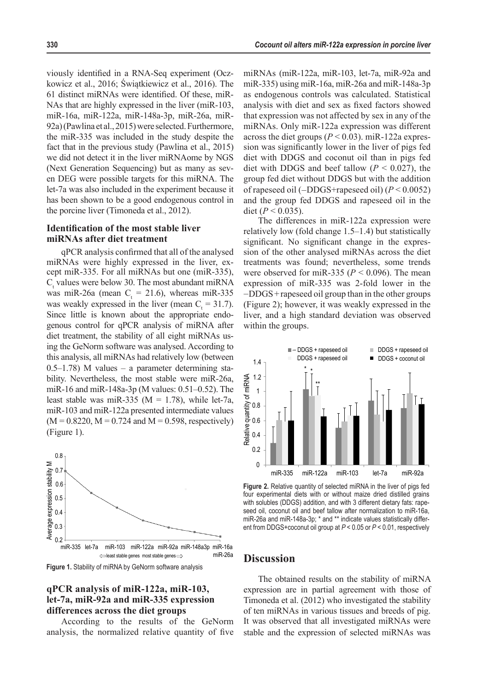viously identified in a RNA-Seq experiment (Oczkowicz et al., 2016; Świątkiewicz et al., 2016). The 61 distinct miRNAs were identified. Of these, miR-NAs that are highly expressed in the liver (miR-103, miR-16a, miR-122a, miR-148a-3p, miR-26a, miR-92a) (Pawlina et al., 2015) were selected. Furthermore, the miR-335 was included in the study despite the fact that in the previous study (Pawlina et al., 2015) we did not detect it in the liver miRNAome by NGS (Next Generation Sequencing) but as many as seven DEG were possible targets for this miRNA. The let-7a was also included in the experiment because it has been shown to be a good endogenous control in the porcine liver (Timoneda et al., 2012).

#### **Identification of the most stable liver miRNAs after diet treatment**

qPCR analysis confirmed that all of the analysed miRNAs were highly expressed in the liver, except miR-335. For all miRNAs but one (miR-335),  $C<sub>t</sub>$  values were below 30. The most abundant miRNA was miR-26a (mean  $C_t = 21.6$ ), whereas miR-335 was weakly expressed in the liver (mean  $C_t = 31.7$ ). Since little is known about the appropriate endogenous control for qPCR analysis of miRNA after diet treatment, the stability of all eight miRNAs using the GeNorm software was analysed. According to this analysis, all miRNAs had relatively low (between 0.5–1.78) M values – a parameter determining stability. Nevertheless, the most stable were miR-26a, miR-16 and miR-148a-3p (M values: 0.51–0.52). The least stable was miR-335 ( $M = 1.78$ ), while let-7a, miR-103 and miR-122a presented intermediate values  $(M = 0.8220, M = 0.724$  and  $M = 0.598$ , respectively) (Figure 1).



**Figure 1.** Stability of miRNA by GeNorm software analysis

#### **qPCR analysis of miR-122a, miR-103, let-7a, miR-92a and miR-335 expression differences across the diet groups**

According to the results of the GeNorm analysis, the normalized relative quantity of five

miRNAs (miR-122a, miR-103, let-7a, miR-92a and miR-335) using miR-16a, miR-26a and miR-148a-3p as endogenous controls was calculated. Statistical analysis with diet and sex as fixed factors showed that expression was not affected by sex in any of the miRNAs. Only miR-122a expression was different across the diet groups  $(P < 0.03)$ . miR-122a expression was significantly lower in the liver of pigs fed diet with DDGS and coconut oil than in pigs fed diet with DDGS and beef tallow  $(P < 0.027)$ , the group fed diet without DDGS but with the addition of rapeseed oil (−DDGS+rapeseed oil) (*P* < 0.0052) and the group fed DDGS and rapeseed oil in the diet ( $P < 0.035$ ).

The differences in miR-122a expression were relatively low (fold change 1.5–1.4) but statistically significant. No significant change in the expression of the other analysed miRNAs across the diet treatments was found; nevertheless, some trends were observed for miR-335 ( $P < 0.096$ ). The mean expression of miR-335 was 2-fold lower in the −DDGS+rapeseed oil group than in the other groups (Figure 2); however, it was weakly expressed in the liver, and a high standard deviation was observed within the groups.



**Figure 2.** Relative quantity of selected miRNA in the liver of pigs fed four experimental diets with or without maize dried distilled grains with solubles (DDGS) addition, and with 3 different dietary fats: rapeseed oil, coconut oil and beef tallow after normalization to miR-16a, miR-26a and miR-148a-3p; \* and \*\* indicate values statistically different from DDGS+coconut oil group at *P* < 0.05 or *P* < 0.01, respectively

# **Discussion**

The obtained results on the stability of miRNA expression are in partial agreement with those of Timoneda et al. (2012) who investigated the stability of ten miRNAs in various tissues and breeds of pig. It was observed that all investigated miRNAs were stable and the expression of selected miRNAs was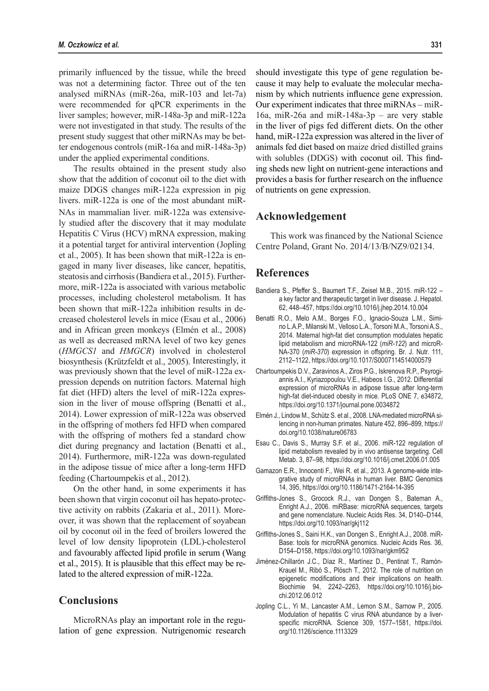primarily influenced by the tissue, while the breed was not a determining factor. Three out of the ten analysed miRNAs (miR-26a, miR-103 and let-7a) were recommended for qPCR experiments in the liver samples; however, miR-148a-3p and miR-122a were not investigated in that study. The results of the present study suggest that other miRNAs may be better endogenous controls (miR-16a and miR-148a-3p) under the applied experimental conditions.

The results obtained in the present study also show that the addition of coconut oil to the diet with maize DDGS changes miR-122a expression in pig livers. miR-122a is one of the most abundant miR-NAs in mammalian liver. miR-122a was extensively studied after the discovery that it may modulate Hepatitis C Virus (HCV) mRNA expression, making it a potential target for antiviral intervention (Jopling et al., 2005). It has been shown that miR-122a is engaged in many liver diseases, like cancer, hepatitis, steatosis and cirrhosis (Bandiera et al., 2015). Furthermore, miR-122a is associated with various metabolic processes, including cholesterol metabolism. It has been shown that miR-122a inhibition results in decreased cholesterol levels in mice (Esau et al., 2006) and in African green monkeys (Elmén et al., 2008) as well as decreased mRNA level of two key genes (*HMGCS1* and *HMGCR*) involved in cholesterol biosynthesis (Krützfeldt et al., 2005). Interestingly, it was previously shown that the level of miR-122a expression depends on nutrition factors. Maternal high fat diet (HFD) alters the level of miR-122a expression in the liver of mouse offspring (Benatti et al., 2014). Lower expression of miR-122a was observed in the offspring of mothers fed HFD when compared with the offspring of mothers fed a standard chow diet during pregnancy and lactation (Benatti et al., 2014). Furthermore, miR-122a was down-regulated in the adipose tissue of mice after a long-term HFD feeding (Chartoumpekis et al., 2012).

On the other hand, in some experiments it has been shown that virgin coconut oil has hepato-protective activity on rabbits (Zakaria et al., 2011). Moreover, it was shown that the replacement of soyabean oil by coconut oil in the feed of broilers lowered the level of low density lipoprotein (LDL)-cholesterol and favourably affected lipid profile in serum (Wang et al., 2015). It is plausible that this effect may be related to the altered expression of miR-122a.

# **Conclusions**

MicroRNAs play an important role in the regulation of gene expression. Nutrigenomic research should investigate this type of gene regulation because it may help to evaluate the molecular mechanism by which nutrients influence gene expression. Our experiment indicates that three miRNAs – miR-16a, miR-26a and miR-148a-3p – are very stable in the liver of pigs fed different diets. On the other hand, miR-122a expression was altered in the liver of animals fed diet based on maize dried distilled grains with solubles (DDGS) with coconut oil. This finding sheds new light on nutrient-gene interactions and provides a basis for further research on the influence of nutrients on gene expression.

#### **Acknowledgement**

This work was financed by the National Science Centre Poland, Grant No. 2014/13/B/NZ9/02134.

### **References**

- Bandiera S., Pfeffer S., Baumert T.F., Zeisel M.B., 2015. miR-122 a key factor and therapeutic target in liver disease. J. Hepatol. 62, 448–457, <https://doi.org/10.1016/j.jhep.2014.10.004>
- Benatti R.O., Melo A.M., Borges F.O., Ignacio-Souza L.M., Simino L.A.P., Milanski M., Velloso L.A., Torsoni M.A., TorsoniA.S., 2014. Maternal high-fat diet consumption modulates hepatic lipid metabolism and microRNA-122 (*miR-122*) and microR-NA-370 (*miR-370*) expression in offspring. Br. J. Nutr. 111, 2112–1122, <https://doi.org/10.1017/S0007114514000579>
- Chartoumpekis D.V., Zaravinos A., Ziros P.G., Iskrenova R.P., Psyrogiannis A.I., Kyriazopoulou V.E., Habeos I.G., 2012. Differential expression of microRNAs in adipose tissue after long-term high-fat diet-induced obesity in mice. PLoS ONE 7, e34872, <https://doi.org/10.1371/journal.pone.0034872>
- Elmén J., Lindow M., Schütz S. et al., 2008. LNA-mediated microRNA silencing in non-human primates. Nature 452, 896–899, [https://](https://doi.org/10.1038/nature06783) [doi.org/10.1038/nature06783](https://doi.org/10.1038/nature06783)
- Esau C., Davis S., Murray S.F. et al., 2006. miR-122 regulation of lipid metabolism revealed by in vivo antisense targeting. Cell Metab. 3, 87–98,<https://doi.org/10.1016/j.cmet.2006.01.005>
- Gamazon E.R., Innocenti F., Wei R. et al., 2013. A genome-wide integrative study of microRNAs in human liver. BMC Genomics 14, 395, [https://doi.org/10.1186/1471-](https://doi.org/10.1186/1471)2164-14-395
- Griffiths-Jones S., Grocock R.J., van Dongen S., Bateman A., Enright A.J., 2006. miRBase: microRNA sequences, targets and gene nomenclature. Nucleic Acids Res. 34, D140–D144, <https://doi.org/10.1093/nar/gkj112>
- Griffiths-Jones S., Saini H.K., van Dongen S., Enright A.J., 2008. miR-Base: tools for microRNA genomics. Nucleic Acids Res. 36, D154–D158,<https://doi.org/10.1093/nar/gkm952>
- Jiménez-Chillarón J.C., Díaz R., Martínez D., Pentinat T., Ramón-Krauel M., Ribó S., Plösch T., 2012. The role of nutrition on epigenetic modifications and their implications on health.<br>Biochimie 94, 2242-2263, https://doi.org/10.1016/j.bio2242–2263, [https://doi.org/10.1016/j.bio](https://doi.org/10.1016/j.biochi.2012.06.012)[chi.2012.06.012](https://doi.org/10.1016/j.biochi.2012.06.012)
- Jopling C.L., Yi M., Lancaster A.M., Lemon S.M., Sarnow P., 2005. Modulation of hepatitis C virus RNA abundance by a liverspecific microRNA. Science 309, 1577–1581, [https://doi.](https://doi.org/10.1126/science.1113329) [org/10.1126/science.1113329](https://doi.org/10.1126/science.1113329)